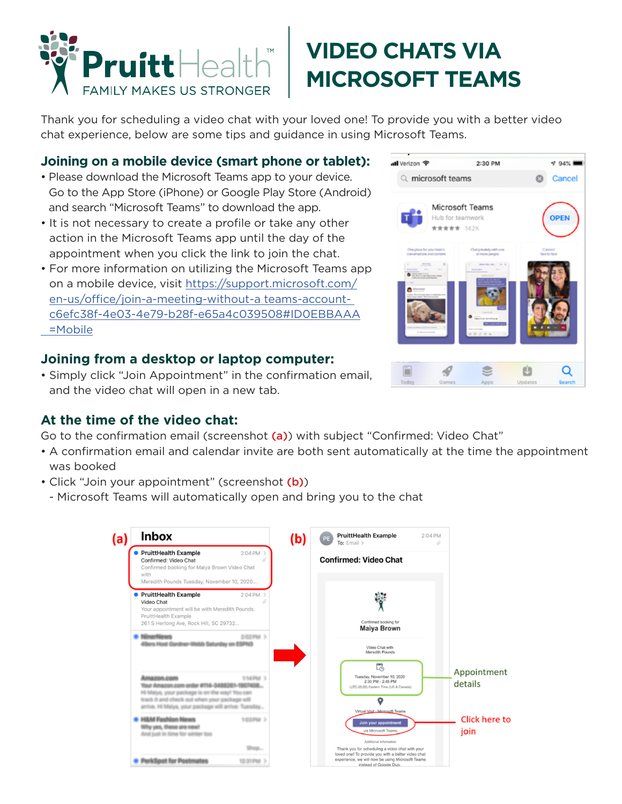

# **VIDEO CHATS VIA MICROSOFT TEAMS**

Thank you for scheduling a video chat with your loved one! To provide you with a better video chat experience, below are some tips and guidance in using Microsoft Teams.

#### **Joining on a mobile device (smart phone or tablet):**

- Please download the Microsoft Teams app to your device. Go to the App Store (iPhone) or Google Play Store (Android) and search "Microsoft Teams" to download the app.
- It is not necessary to create a profile or take any other action in the Microsoft Teams app until the day of the appointment when you click the link to join the chat.
- For more information on utilizing the Microsoft Teams app on a mobile device, visit https://support.microsoft.com/ en-us/office/join-a-meeting-without-a teams-accountc6efc38f-4e03-4e79-b28f-e65a4c039508#ID0EBBAAA =Mobile

### **Joining from a desktop or laptop computer:**

• Simply click "Join Appointment" in the confirmation email, and the video chat will open in a new tab.

#### **At the time of the video chat:**

Go to the confirmation email (screenshot (a)) with subject "Confirmed: Video Chat"

- A confirmation email and calendar invite are both sent automatically at the time the appointment was booked
- Click "Join your appointment" (screenshot (b))
	- Microsoft Teams will automatically open and bring you to the chat